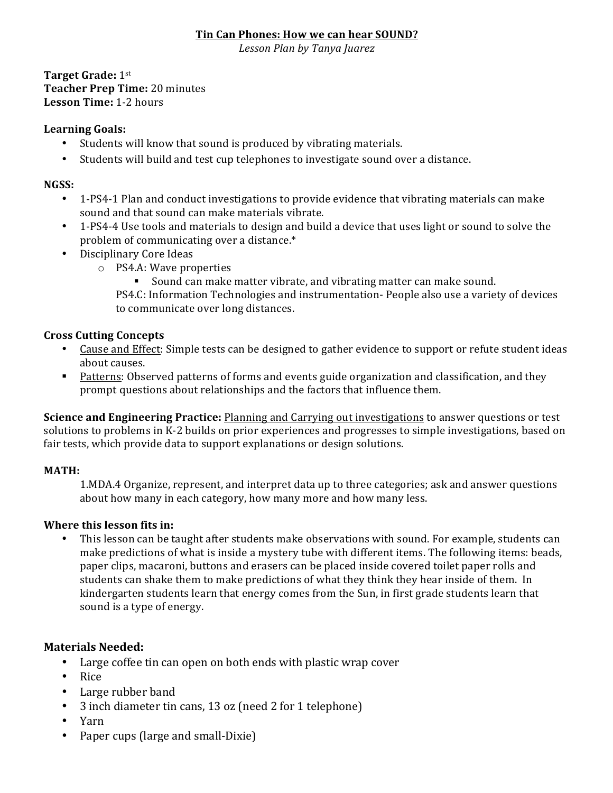#### **Tin Can Phones: How we can hear SOUND?**

*Lesson Plan by Tanya Juarez*

**Target Grade:** 1st **Teacher Prep Time:** 20 minutes **Lesson Time:** 1-2 hours 

#### Learning Goals:

- Students will know that sound is produced by vibrating materials.
- Students will build and test cup telephones to investigate sound over a distance.

#### **NGSS:**

- 1-PS4-1 Plan and conduct investigations to provide evidence that vibrating materials can make sound and that sound can make materials vibrate.
- 1-PS4-4 Use tools and materials to design and build a device that uses light or sound to solve the problem of communicating over a distance.\*
- Disciplinary Core Ideas
	- $\circ$  PS4.A: Wave properties
		- Sound can make matter vibrate, and vibrating matter can make sound.

PS4.C: Information Technologies and instrumentation- People also use a variety of devices to communicate over long distances.

### **Cross Cutting Concepts**

- Cause and Effect: Simple tests can be designed to gather evidence to support or refute student ideas about causes.
- Patterns: Observed patterns of forms and events guide organization and classification, and they prompt questions about relationships and the factors that influence them.

**Science and Engineering Practice:** Planning and Carrying out investigations to answer questions or test solutions to problems in K-2 builds on prior experiences and progresses to simple investigations, based on fair tests, which provide data to support explanations or design solutions.

### **MATH:**

1.MDA.4 Organize, represent, and interpret data up to three categories; ask and answer questions about how many in each category, how many more and how many less.

### **Where this lesson fits in:**

This lesson can be taught after students make observations with sound. For example, students can make predictions of what is inside a mystery tube with different items. The following items: beads, paper clips, macaroni, buttons and erasers can be placed inside covered toilet paper rolls and students can shake them to make predictions of what they think they hear inside of them. In kindergarten students learn that energy comes from the Sun, in first grade students learn that sound is a type of energy.

### **Materials Needed:**

- Large coffee tin can open on both ends with plastic wrap cover
- Rice
- Large rubber band
- 3 inch diameter tin cans, 13 oz (need 2 for 1 telephone)
- Yarn
- Paper cups (large and small-Dixie)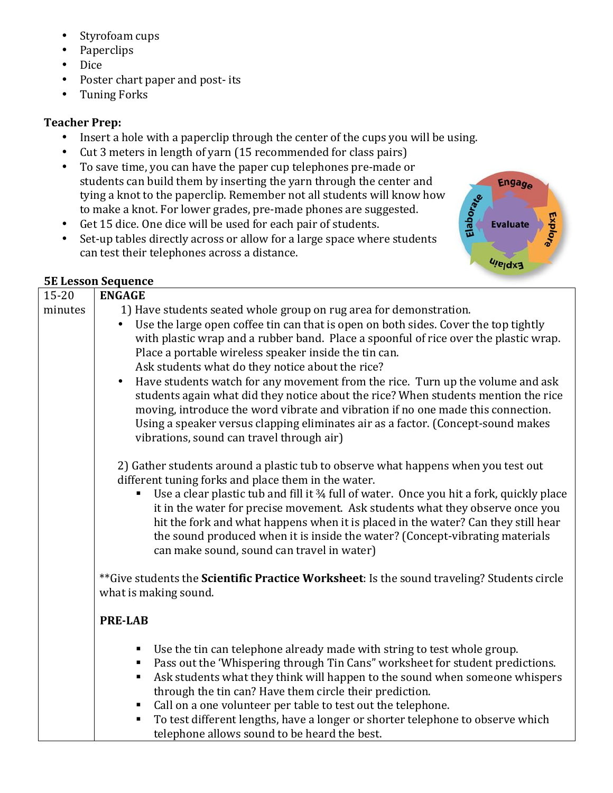- Styrofoam cups
- Paperclips
- Dice
- Poster chart paper and post- its
- Tuning Forks

## **Teacher Prep:**

• Insert a hole with a paperclip through the center of the cups you will be using.

Engage

**Evaluate** 

**Ujejdx3** 

Explo<sub>re</sub>

Elaborate

- Cut 3 meters in length of yarn (15 recommended for class pairs)
- To save time, you can have the paper cup telephones pre-made or students can build them by inserting the yarn through the center and tying a knot to the paperclip. Remember not all students will know how to make a knot. For lower grades, pre-made phones are suggested.
- Get 15 dice. One dice will be used for each pair of students.
- Set-up tables directly across or allow for a large space where students can test their telephones across a distance.

#### **5E Lesson Sequence ENGAGE**

| <b>ENGAGE</b>                                                                                                                                                                                                                                                                                                                                                                                                                                                                                                                                                                                                                                                                                                                                                            |
|--------------------------------------------------------------------------------------------------------------------------------------------------------------------------------------------------------------------------------------------------------------------------------------------------------------------------------------------------------------------------------------------------------------------------------------------------------------------------------------------------------------------------------------------------------------------------------------------------------------------------------------------------------------------------------------------------------------------------------------------------------------------------|
| 1) Have students seated whole group on rug area for demonstration.<br>Use the large open coffee tin can that is open on both sides. Cover the top tightly<br>with plastic wrap and a rubber band. Place a spoonful of rice over the plastic wrap.<br>Place a portable wireless speaker inside the tin can.<br>Ask students what do they notice about the rice?<br>Have students watch for any movement from the rice. Turn up the volume and ask<br>$\bullet$<br>students again what did they notice about the rice? When students mention the rice<br>moving, introduce the word vibrate and vibration if no one made this connection.<br>Using a speaker versus clapping eliminates air as a factor. (Concept-sound makes<br>vibrations, sound can travel through air) |
| 2) Gather students around a plastic tub to observe what happens when you test out<br>different tuning forks and place them in the water.<br>Use a clear plastic tub and fill it 34 full of water. Once you hit a fork, quickly place<br>it in the water for precise movement. Ask students what they observe once you<br>hit the fork and what happens when it is placed in the water? Can they still hear<br>the sound produced when it is inside the water? (Concept-vibrating materials<br>can make sound, sound can travel in water)                                                                                                                                                                                                                                 |
| ** Give students the Scientific Practice Worksheet: Is the sound traveling? Students circle<br>what is making sound.                                                                                                                                                                                                                                                                                                                                                                                                                                                                                                                                                                                                                                                     |
| <b>PRE-LAB</b>                                                                                                                                                                                                                                                                                                                                                                                                                                                                                                                                                                                                                                                                                                                                                           |
| Use the tin can telephone already made with string to test whole group.<br>п<br>Pass out the 'Whispering through Tin Cans" worksheet for student predictions.<br>Ask students what they think will happen to the sound when someone whispers<br>ш<br>through the tin can? Have them circle their prediction.<br>Call on a one volunteer per table to test out the telephone.<br>To test different lengths, have a longer or shorter telephone to observe which<br>٠<br>telephone allows sound to be heard the best.                                                                                                                                                                                                                                                      |
|                                                                                                                                                                                                                                                                                                                                                                                                                                                                                                                                                                                                                                                                                                                                                                          |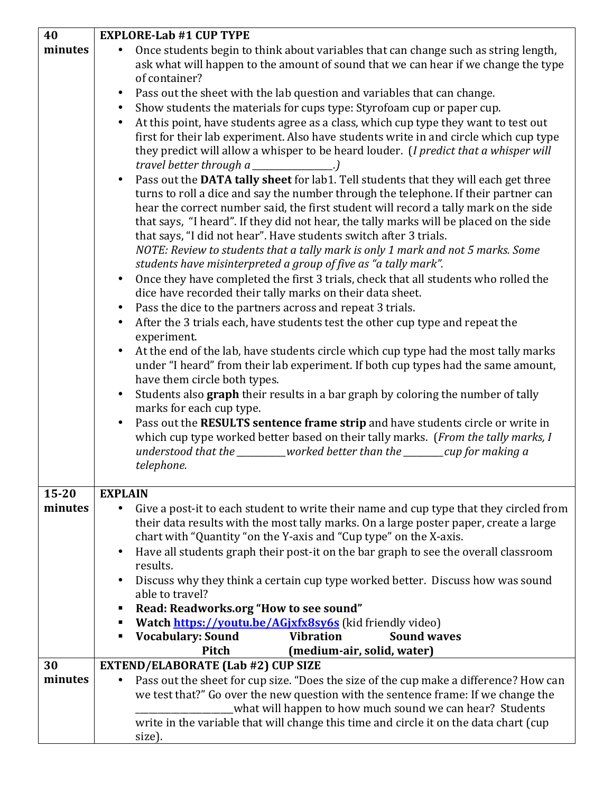| 40      | <b>EXPLORE-Lab #1 CUP TYPE</b>                                                                                                                                  |
|---------|-----------------------------------------------------------------------------------------------------------------------------------------------------------------|
| minutes | Once students begin to think about variables that can change such as string length,                                                                             |
|         | ask what will happen to the amount of sound that we can hear if we change the type                                                                              |
|         | of container?                                                                                                                                                   |
|         | Pass out the sheet with the lab question and variables that can change.<br>$\bullet$                                                                            |
|         | Show students the materials for cups type: Styrofoam cup or paper cup.<br>$\bullet$                                                                             |
|         | At this point, have students agree as a class, which cup type they want to test out<br>$\bullet$                                                                |
|         | first for their lab experiment. Also have students write in and circle which cup type                                                                           |
|         | they predict will allow a whisper to be heard louder. (I predict that a whisper will                                                                            |
|         | travel better through $a$ _____________.)<br>Pass out the DATA tally sheet for lab1. Tell students that they will each get three<br>$\bullet$                   |
|         | turns to roll a dice and say the number through the telephone. If their partner can                                                                             |
|         | hear the correct number said, the first student will record a tally mark on the side                                                                            |
|         | that says, "I heard". If they did not hear, the tally marks will be placed on the side                                                                          |
|         | that says, "I did not hear". Have students switch after 3 trials.                                                                                               |
|         | NOTE: Review to students that a tally mark is only 1 mark and not 5 marks. Some                                                                                 |
|         | students have misinterpreted a group of five as "a tally mark".                                                                                                 |
|         | Once they have completed the first 3 trials, check that all students who rolled the<br>$\bullet$                                                                |
|         | dice have recorded their tally marks on their data sheet.<br>Pass the dice to the partners across and repeat 3 trials.<br>$\bullet$                             |
|         | After the 3 trials each, have students test the other cup type and repeat the<br>$\bullet$                                                                      |
|         | experiment.                                                                                                                                                     |
|         | At the end of the lab, have students circle which cup type had the most tally marks                                                                             |
|         | under "I heard" from their lab experiment. If both cup types had the same amount,                                                                               |
|         | have them circle both types.                                                                                                                                    |
|         | Students also graph their results in a bar graph by coloring the number of tally<br>$\bullet$                                                                   |
|         | marks for each cup type.                                                                                                                                        |
|         | Pass out the RESULTS sentence frame strip and have students circle or write in                                                                                  |
|         | which cup type worked better based on their tally marks. (From the tally marks, I<br>understood that the ________worked better than the _______cup for making a |
|         | telephone.                                                                                                                                                      |
|         |                                                                                                                                                                 |
| 15-20   | <b>EXPLAIN</b>                                                                                                                                                  |
| minutes | Give a post-it to each student to write their name and cup type that they circled from<br>٠                                                                     |
|         | their data results with the most tally marks. On a large poster paper, create a large                                                                           |
|         | chart with "Quantity "on the Y-axis and "Cup type" on the X-axis.                                                                                               |
|         | Have all students graph their post-it on the bar graph to see the overall classroom<br>$\bullet$<br>results.                                                    |
|         | Discuss why they think a certain cup type worked better. Discuss how was sound                                                                                  |
|         | able to travel?                                                                                                                                                 |
|         | Read: Readworks.org "How to see sound"                                                                                                                          |
|         | Watch https://youtu.be/AGjxfx8sy6s (kid friendly video)                                                                                                         |
|         | <b>Vocabulary: Sound</b><br><b>Vibration</b><br><b>Sound waves</b><br>٠                                                                                         |
| 30      | Pitch<br>(medium-air, solid, water)<br>EXTEND/ELABORATE (Lab #2) CUP SIZE                                                                                       |
| minutes | Pass out the sheet for cup size. "Does the size of the cup make a difference? How can                                                                           |
|         | we test that?" Go over the new question with the sentence frame: If we change the                                                                               |
|         | what will happen to how much sound we can hear? Students                                                                                                        |
|         | write in the variable that will change this time and circle it on the data chart (cup                                                                           |
|         | size).                                                                                                                                                          |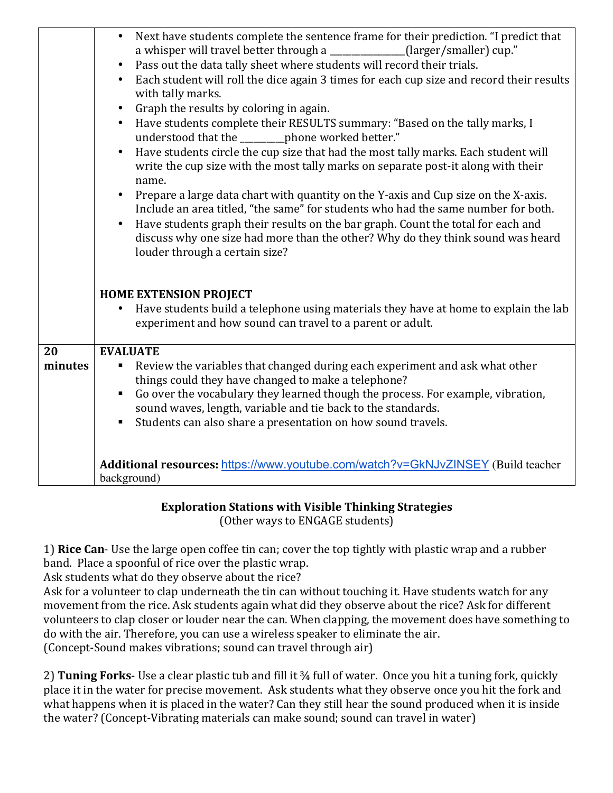|         | Next have students complete the sentence frame for their prediction. "I predict that<br>$\bullet$<br>a whisper will travel better through a ____________(larger/smaller) cup."<br>Pass out the data tally sheet where students will record their trials.<br>$\bullet$<br>Each student will roll the dice again 3 times for each cup size and record their results<br>$\bullet$<br>with tally marks.<br>Graph the results by coloring in again.<br>$\bullet$<br>Have students complete their RESULTS summary: "Based on the tally marks, I<br>$\bullet$<br>understood that the _______ phone worked better."<br>Have students circle the cup size that had the most tally marks. Each student will<br>write the cup size with the most tally marks on separate post-it along with their<br>name.<br>Prepare a large data chart with quantity on the Y-axis and Cup size on the X-axis.<br>Include an area titled, "the same" for students who had the same number for both.<br>Have students graph their results on the bar graph. Count the total for each and<br>discuss why one size had more than the other? Why do they think sound was heard<br>louder through a certain size? |
|---------|-------------------------------------------------------------------------------------------------------------------------------------------------------------------------------------------------------------------------------------------------------------------------------------------------------------------------------------------------------------------------------------------------------------------------------------------------------------------------------------------------------------------------------------------------------------------------------------------------------------------------------------------------------------------------------------------------------------------------------------------------------------------------------------------------------------------------------------------------------------------------------------------------------------------------------------------------------------------------------------------------------------------------------------------------------------------------------------------------------------------------------------------------------------------------------------|
|         | <b>HOME EXTENSION PROJECT</b><br>Have students build a telephone using materials they have at home to explain the lab<br>experiment and how sound can travel to a parent or adult.                                                                                                                                                                                                                                                                                                                                                                                                                                                                                                                                                                                                                                                                                                                                                                                                                                                                                                                                                                                                  |
| 20      | <b>EVALUATE</b>                                                                                                                                                                                                                                                                                                                                                                                                                                                                                                                                                                                                                                                                                                                                                                                                                                                                                                                                                                                                                                                                                                                                                                     |
| minutes | Review the variables that changed during each experiment and ask what other<br>٠<br>things could they have changed to make a telephone?<br>Go over the vocabulary they learned though the process. For example, vibration,<br>sound waves, length, variable and tie back to the standards.<br>Students can also share a presentation on how sound travels.<br>$\blacksquare$                                                                                                                                                                                                                                                                                                                                                                                                                                                                                                                                                                                                                                                                                                                                                                                                        |
|         | Additional resources: https://www.youtube.com/watch?v=GkNJvZINSEY (Build teacher<br>background)                                                                                                                                                                                                                                                                                                                                                                                                                                                                                                                                                                                                                                                                                                                                                                                                                                                                                                                                                                                                                                                                                     |

# **Exploration Stations with Visible Thinking Strategies**

(Other ways to ENGAGE students)

1) **Rice Can**- Use the large open coffee tin can; cover the top tightly with plastic wrap and a rubber band. Place a spoonful of rice over the plastic wrap.

Ask students what do they observe about the rice?

Ask for a volunteer to clap underneath the tin can without touching it. Have students watch for any movement from the rice. Ask students again what did they observe about the rice? Ask for different volunteers to clap closer or louder near the can. When clapping, the movement does have something to do with the air. Therefore, you can use a wireless speaker to eliminate the air. (Concept-Sound makes vibrations; sound can travel through air)

2) **Tuning Forks**- Use a clear plastic tub and fill it 34 full of water. Once you hit a tuning fork, quickly place it in the water for precise movement. Ask students what they observe once you hit the fork and what happens when it is placed in the water? Can they still hear the sound produced when it is inside the water? (Concept-Vibrating materials can make sound; sound can travel in water)